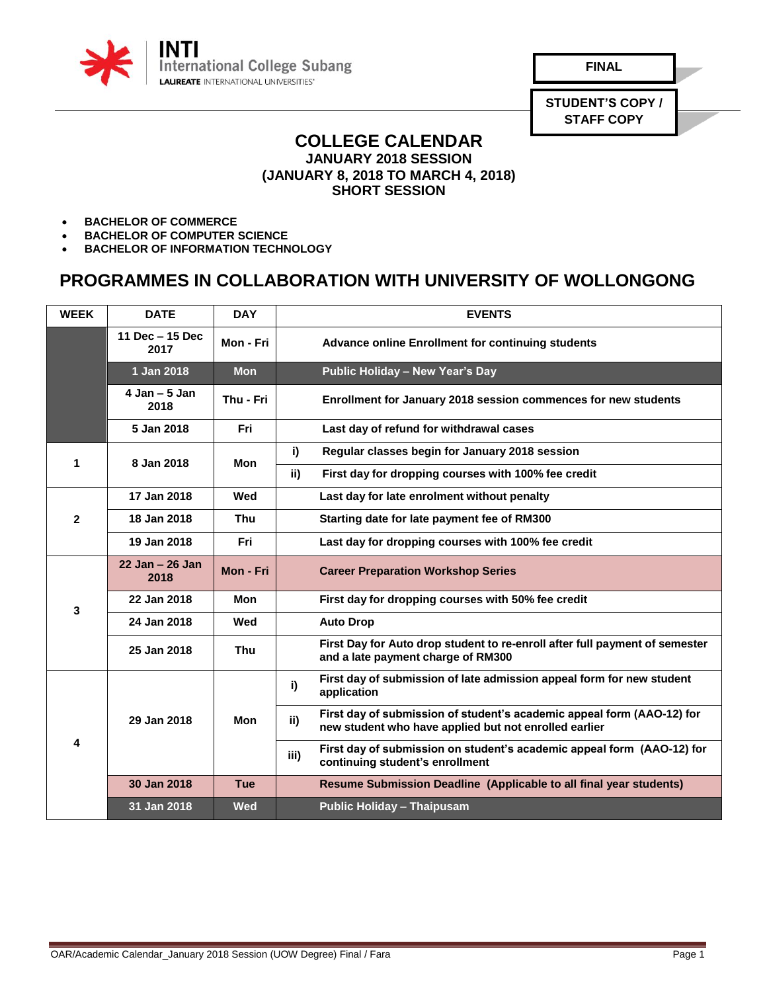

**FINAL**

**STUDENT'S COPY / STAFF COPY**

## **COLLEGE CALENDAR JANUARY 2018 SESSION (JANUARY 8, 2018 TO MARCH 4, 2018) SHORT SESSION**

- **BACHELOR OF COMMERCE**
- **BACHELOR OF COMPUTER SCIENCE**
- **BACHELOR OF INFORMATION TECHNOLOGY**

## **PROGRAMMES IN COLLABORATION WITH UNIVERSITY OF WOLLONGONG**

| <b>WEEK</b>    | <b>DATE</b>                | <b>DAY</b> | <b>EVENTS</b>                                                                                                                          |
|----------------|----------------------------|------------|----------------------------------------------------------------------------------------------------------------------------------------|
|                | 11 Dec - 15 Dec<br>2017    | Mon - Fri  | <b>Advance online Enrollment for continuing students</b>                                                                               |
|                | 1 Jan 2018                 | <b>Mon</b> | Public Holiday - New Year's Day                                                                                                        |
|                | $4$ Jan $-5$ Jan<br>2018   | Thu - Fri  | Enrollment for January 2018 session commences for new students                                                                         |
|                | 5 Jan 2018                 | <b>Fri</b> | Last day of refund for withdrawal cases                                                                                                |
| 1              | 8 Jan 2018                 | <b>Mon</b> | i)<br>Regular classes begin for January 2018 session                                                                                   |
|                |                            |            | First day for dropping courses with 100% fee credit<br>ii)                                                                             |
| $\overline{2}$ | 17 Jan 2018                | Wed        | Last day for late enrolment without penalty                                                                                            |
|                | 18 Jan 2018                | Thu        | Starting date for late payment fee of RM300                                                                                            |
|                | 19 Jan 2018                | Fri        | Last day for dropping courses with 100% fee credit                                                                                     |
| 3              | $22$ Jan $-26$ Jan<br>2018 | Mon - Fri  | <b>Career Preparation Workshop Series</b>                                                                                              |
|                | 22 Jan 2018                | Mon        | First day for dropping courses with 50% fee credit                                                                                     |
|                | 24 Jan 2018                | Wed        | <b>Auto Drop</b>                                                                                                                       |
|                | 25 Jan 2018                | <b>Thu</b> | First Day for Auto drop student to re-enroll after full payment of semester<br>and a late payment charge of RM300                      |
| 4              | 29 Jan 2018                | Mon        | First day of submission of late admission appeal form for new student<br>i)<br>application                                             |
|                |                            |            | First day of submission of student's academic appeal form (AAO-12) for<br>ii)<br>new student who have applied but not enrolled earlier |
|                |                            |            | First day of submission on student's academic appeal form (AAO-12) for<br>iii)<br>continuing student's enrollment                      |
|                | 30 Jan 2018                | Tue        | <b>Resume Submission Deadline (Applicable to all final year students)</b>                                                              |
|                | 31 Jan 2018                | Wed        | <b>Public Holiday - Thaipusam</b>                                                                                                      |